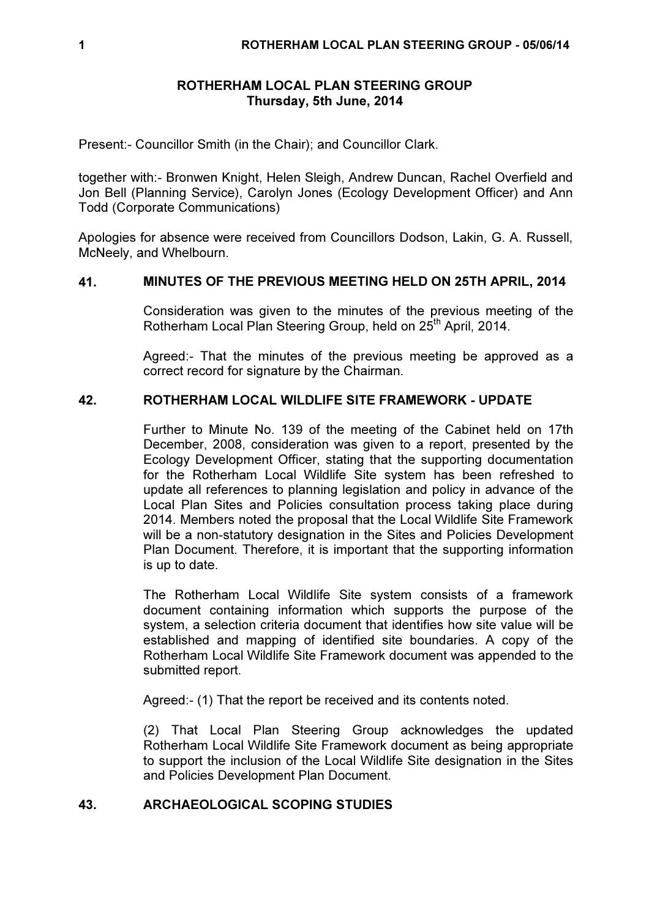# ROTHERHAM LOCAL PLAN STEERING GROUP Thursday, 5th June, 2014

Present:- Councillor Smith (in the Chair); and Councillor Clark.

together with:- Bronwen Knight, Helen Sleigh, Andrew Duncan, Rachel Overfield and Jon Bell (Planning Service), Carolyn Jones (Ecology Development Officer) and Ann Todd (Corporate Communications)

Apologies for absence were received from Councillors Dodson, Lakin, G. A. Russell, McNeely, and Whelbourn.

# 41. MINUTES OF THE PREVIOUS MEETING HELD ON 25TH APRIL, 2014

Consideration was given to the minutes of the previous meeting of the Rotherham Local Plan Steering Group, held on 25<sup>th</sup> April, 2014.

Agreed:- That the minutes of the previous meeting be approved as a correct record for signature by the Chairman.

# 42. ROTHERHAM LOCAL WILDLIFE SITE FRAMEWORK - UPDATE

Further to Minute No. 139 of the meeting of the Cabinet held on 17th December, 2008, consideration was given to a report, presented by the Ecology Development Officer, stating that the supporting documentation for the Rotherham Local Wildlife Site system has been refreshed to update all references to planning legislation and policy in advance of the Local Plan Sites and Policies consultation process taking place during 2014. Members noted the proposal that the Local Wildlife Site Framework will be a non-statutory designation in the Sites and Policies Development Plan Document. Therefore, it is important that the supporting information is up to date.

The Rotherham Local Wildlife Site system consists of a framework document containing information which supports the purpose of the system, a selection criteria document that identifies how site value will be established and mapping of identified site boundaries. A copy of the Rotherham Local Wildlife Site Framework document was appended to the submitted report.

Agreed:- (1) That the report be received and its contents noted.

(2) That Local Plan Steering Group acknowledges the updated Rotherham Local Wildlife Site Framework document as being appropriate to support the inclusion of the Local Wildlife Site designation in the Sites and Policies Development Plan Document.

# 43. ARCHAEOLOGICAL SCOPING STUDIES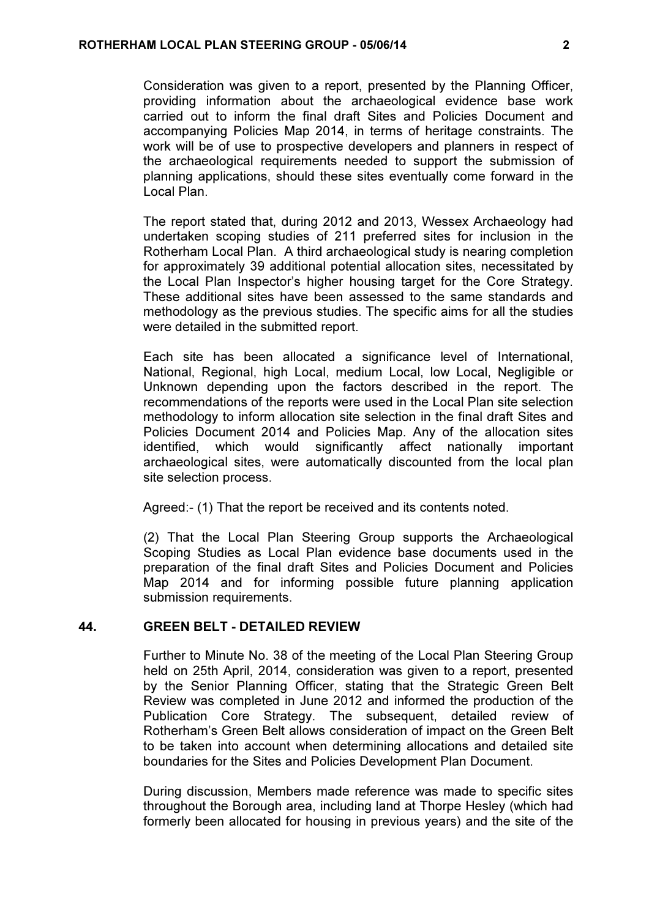Consideration was given to a report, presented by the Planning Officer, providing information about the archaeological evidence base work carried out to inform the final draft Sites and Policies Document and accompanying Policies Map 2014, in terms of heritage constraints. The work will be of use to prospective developers and planners in respect of the archaeological requirements needed to support the submission of planning applications, should these sites eventually come forward in the Local Plan.

The report stated that, during 2012 and 2013, Wessex Archaeology had undertaken scoping studies of 211 preferred sites for inclusion in the Rotherham Local Plan. A third archaeological study is nearing completion for approximately 39 additional potential allocation sites, necessitated by the Local Plan Inspector's higher housing target for the Core Strategy. These additional sites have been assessed to the same standards and methodology as the previous studies. The specific aims for all the studies were detailed in the submitted report.

Each site has been allocated a significance level of International, National, Regional, high Local, medium Local, low Local, Negligible or Unknown depending upon the factors described in the report. The recommendations of the reports were used in the Local Plan site selection methodology to inform allocation site selection in the final draft Sites and Policies Document 2014 and Policies Map. Any of the allocation sites identified, which would significantly affect nationally important archaeological sites, were automatically discounted from the local plan site selection process.

Agreed:- (1) That the report be received and its contents noted.

(2) That the Local Plan Steering Group supports the Archaeological Scoping Studies as Local Plan evidence base documents used in the preparation of the final draft Sites and Policies Document and Policies Map 2014 and for informing possible future planning application submission requirements.

# 44. GREEN BELT - DETAILED REVIEW

Further to Minute No. 38 of the meeting of the Local Plan Steering Group held on 25th April, 2014, consideration was given to a report, presented by the Senior Planning Officer, stating that the Strategic Green Belt Review was completed in June 2012 and informed the production of the Publication Core Strategy. The subsequent, detailed review of Rotherham's Green Belt allows consideration of impact on the Green Belt to be taken into account when determining allocations and detailed site boundaries for the Sites and Policies Development Plan Document.

During discussion, Members made reference was made to specific sites throughout the Borough area, including land at Thorpe Hesley (which had formerly been allocated for housing in previous years) and the site of the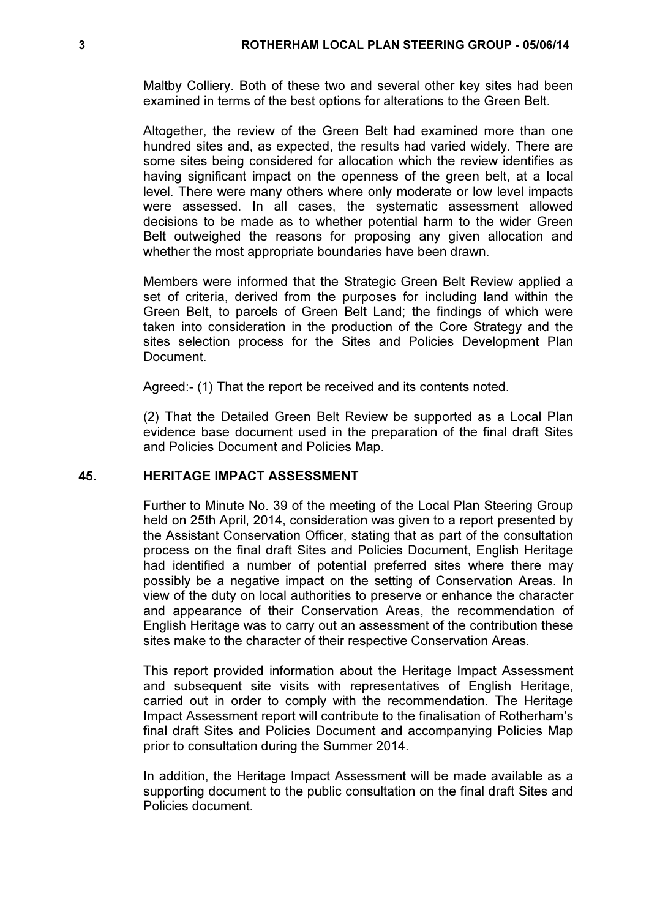Maltby Colliery. Both of these two and several other key sites had been examined in terms of the best options for alterations to the Green Belt.

Altogether, the review of the Green Belt had examined more than one hundred sites and, as expected, the results had varied widely. There are some sites being considered for allocation which the review identifies as having significant impact on the openness of the green belt, at a local level. There were many others where only moderate or low level impacts were assessed. In all cases, the systematic assessment allowed decisions to be made as to whether potential harm to the wider Green Belt outweighed the reasons for proposing any given allocation and whether the most appropriate boundaries have been drawn.

Members were informed that the Strategic Green Belt Review applied a set of criteria, derived from the purposes for including land within the Green Belt, to parcels of Green Belt Land; the findings of which were taken into consideration in the production of the Core Strategy and the sites selection process for the Sites and Policies Development Plan Document.

Agreed:- (1) That the report be received and its contents noted.

(2) That the Detailed Green Belt Review be supported as a Local Plan evidence base document used in the preparation of the final draft Sites and Policies Document and Policies Map.

#### 45. HERITAGE IMPACT ASSESSMENT

Further to Minute No. 39 of the meeting of the Local Plan Steering Group held on 25th April, 2014, consideration was given to a report presented by the Assistant Conservation Officer, stating that as part of the consultation process on the final draft Sites and Policies Document, English Heritage had identified a number of potential preferred sites where there may possibly be a negative impact on the setting of Conservation Areas. In view of the duty on local authorities to preserve or enhance the character and appearance of their Conservation Areas, the recommendation of English Heritage was to carry out an assessment of the contribution these sites make to the character of their respective Conservation Areas.

This report provided information about the Heritage Impact Assessment and subsequent site visits with representatives of English Heritage, carried out in order to comply with the recommendation. The Heritage Impact Assessment report will contribute to the finalisation of Rotherham's final draft Sites and Policies Document and accompanying Policies Map prior to consultation during the Summer 2014.

In addition, the Heritage Impact Assessment will be made available as a supporting document to the public consultation on the final draft Sites and Policies document.